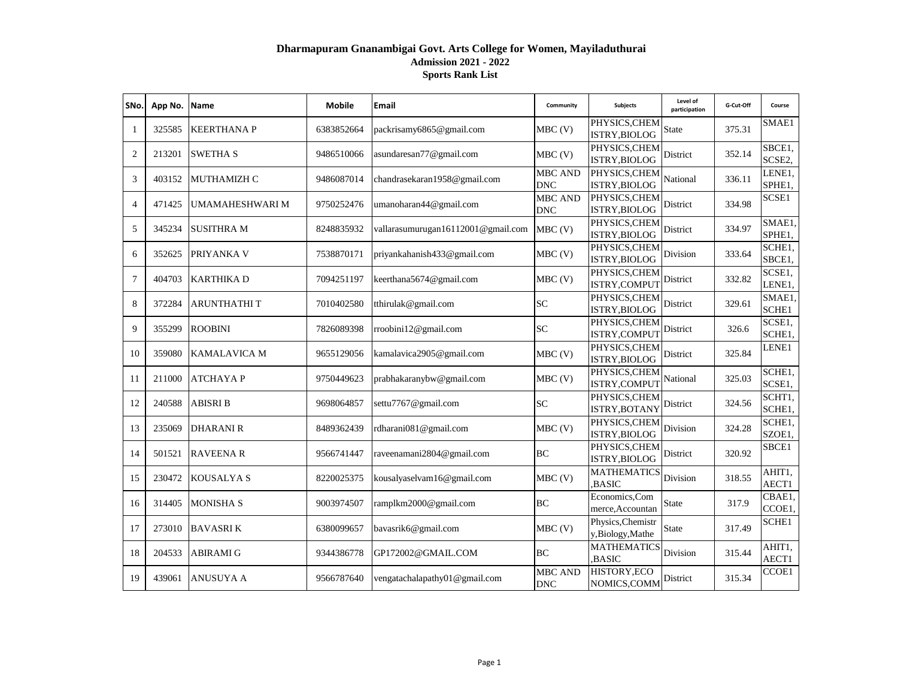## **Dharmapuram Gnanambigai Govt. Arts College for Women, Mayiladuthurai Admission 2021 - 2022 Sports Rank List**

| SNo.           | App No. | Name                | <b>Mobile</b> | Email                              | Community                    | <b>Subjects</b>                      | Level of<br>participation | G-Cut-Off | Course           |
|----------------|---------|---------------------|---------------|------------------------------------|------------------------------|--------------------------------------|---------------------------|-----------|------------------|
| $\mathbf{1}$   | 325585  | <b>KEERTHANAP</b>   | 6383852664    | packrisamy6865@gmail.com           | $MBC$ (V)                    | PHYSICS, CHEM<br>ISTRY, BIOLOG       | State                     | 375.31    | SMAE1            |
| $\overline{2}$ | 213201  | <b>SWETHA S</b>     | 9486510066    | asundaresan77@gmail.com            | $MBC$ (V)                    | PHYSICS, CHEM<br>ISTRY, BIOLOG       | District                  | 352.14    | SBCE1,<br>SCSE2, |
| 3              | 403152  | <b>MUTHAMIZH C</b>  | 9486087014    | chandrasekaran1958@gmail.com       | <b>MBC AND</b><br><b>DNC</b> | PHYSICS, CHEM<br>ISTRY, BIOLOG       | National                  | 336.11    | LENE1,<br>SPHE1, |
| $\overline{4}$ | 471425  | UMAMAHESHWARI M     | 9750252476    | umanoharan44@gmail.com             | <b>MBC AND</b><br><b>DNC</b> | PHYSICS, CHEM<br>ISTRY, BIOLOG       | District                  | 334.98    | SCSE1            |
| 5              | 345234  | <b>SUSITHRA M</b>   | 8248835932    | vallarasumurugan16112001@gmail.com | $MBC$ (V)                    | PHYSICS, CHEM<br>ISTRY, BIOLOG       | District                  | 334.97    | SMAE1,<br>SPHE1, |
| 6              | 352625  | PRIYANKA V          | 7538870171    | priyankahanish433@gmail.com        | $MBC$ (V)                    | PHYSICS, CHEM<br>ISTRY, BIOLOG       | Division                  | 333.64    | SCHE1,<br>SBCE1, |
| $\tau$         | 404703  | <b>KARTHIKA D</b>   | 7094251197    | keerthana5674@gmail.com            | $MBC$ (V)                    | PHYSICS, CHEM<br>ISTRY, COMPUT       | District                  | 332.82    | SCSE1,<br>LENE1, |
| 8              | 372284  | <b>ARUNTHATHIT</b>  | 7010402580    | tthirulak@gmail.com                | SC                           | PHYSICS, CHEM<br>ISTRY, BIOLOG       | District                  | 329.61    | SMAE1,<br>SCHE1  |
| 9              | 355299  | <b>ROOBINI</b>      | 7826089398    | rroobini12@gmail.com               | SC                           | PHYSICS, CHEM<br>ISTRY,COMPUT        | District                  | 326.6     | SCSE1,<br>SCHE1. |
| 10             | 359080  | <b>KAMALAVICA M</b> | 9655129056    | kamalavica2905@gmail.com           | $MBC$ (V)                    | PHYSICS, CHEM<br>ISTRY, BIOLOG       | District                  | 325.84    | LENE1            |
| 11             | 211000  | <b>ATCHAYAP</b>     | 9750449623    | prabhakaranybw@gmail.com           | $MBC$ (V)                    | PHYSICS, CHEM<br>ISTRY, COMPUT       | National                  | 325.03    | SCHE1,<br>SCSE1, |
| 12             | 240588  | <b>ABISRI B</b>     | 9698064857    | settu7767@gmail.com                | <b>SC</b>                    | PHYSICS, CHEM<br>ISTRY, BOTANY       | District                  | 324.56    | SCHT1,<br>SCHE1, |
| 13             | 235069  | <b>DHARANI R</b>    | 8489362439    | rdharani081@gmail.com              | $MBC$ (V)                    | PHYSICS, CHEM<br>ISTRY, BIOLOG       | Division                  | 324.28    | SCHE1.<br>SZOE1, |
| 14             | 501521  | <b>RAVEENAR</b>     | 9566741447    | raveenamani2804@gmail.com          | BC                           | PHYSICS, CHEM<br>ISTRY, BIOLOG       | District                  | 320.92    | SBCE1            |
| 15             | 230472  | <b>KOUSALYA S</b>   | 8220025375    | kousalyaselvam16@gmail.com         | $MBC$ (V)                    | <b>MATHEMATICS</b><br><b>BASIC</b>   | Division                  | 318.55    | AHIT1,<br>AECT1  |
| 16             | 314405  | <b>MONISHA S</b>    | 9003974507    | ramplkm2000@gmail.com              | BC                           | Economics, Com<br>merce, Accountan   | <b>State</b>              | 317.9     | CBAE1.<br>CCOE1, |
| 17             | 273010  | <b>BAVASRIK</b>     | 6380099657    | bavasrik6@gmail.com                | $MBC$ (V)                    | Physics, Chemistr<br>y,Biology,Mathe | State                     | 317.49    | SCHE1            |
| 18             | 204533  | <b>ABIRAMI G</b>    | 9344386778    | GP172002@GMAIL.COM                 | BC                           | <b>MATHEMATICS</b><br><b>BASIC</b>   | Division                  | 315.44    | AHIT1,<br>AECT1  |
| 19             | 439061  | <b>ANUSUYA A</b>    | 9566787640    | vengatachalapathy01@gmail.com      | <b>MBC AND</b><br><b>DNC</b> | HISTORY, ECO<br>NOMICS, COMM         | District                  | 315.34    | CCOE1            |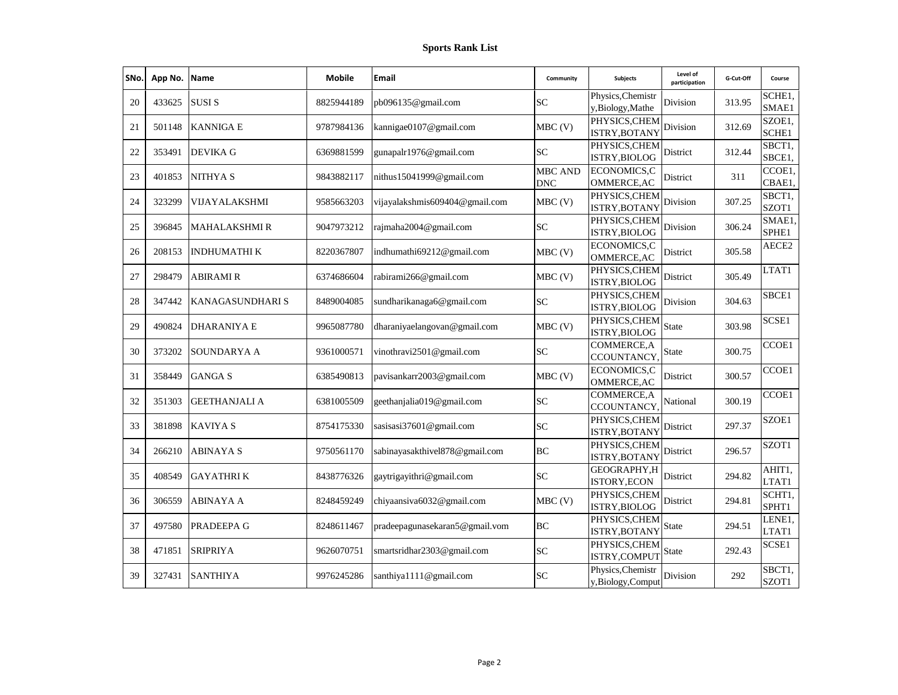| SNo. | App No. | <b>Name</b>            | <b>Mobile</b> | Email                          | Community                    | <b>Subjects</b>                         | Level of<br>participation | G-Cut-Off | Course                     |
|------|---------|------------------------|---------------|--------------------------------|------------------------------|-----------------------------------------|---------------------------|-----------|----------------------------|
| 20   | 433625  | <b>SUSIS</b>           | 8825944189    | pb096135@gmail.com             | <b>SC</b>                    | Physics, Chemistr<br>y,Biology,Mathe    | Division                  | 313.95    | SCHE <sub>1</sub><br>SMAE1 |
| 21   | 501148  | <b>KANNIGA E</b>       | 9787984136    | kannigae0107@gmail.com         | MBC(V)                       | PHYSICS, CHEM<br>ISTRY, BOTANY          | Division                  | 312.69    | SZOE1,<br>SCHE1            |
| 22   | 353491  | <b>DEVIKA G</b>        | 6369881599    | gunapalr1976@gmail.com         | SC                           | PHYSICS, CHEM<br>ISTRY, BIOLOG          | District                  | 312.44    | SBCT1,<br>SBCE1.           |
| 23   | 401853  | <b>NITHYAS</b>         | 9843882117    | nithus15041999@gmail.com       | <b>MBC AND</b><br><b>DNC</b> | ECONOMICS,C<br>OMMERCE, AC              | District                  | 311       | CCOE1,<br>CBAE1,           |
| 24   | 323299  | VIJAYALAKSHMI          | 9585663203    | vijayalakshmis609404@gmail.com | MBC(V)                       | PHYSICS, CHEM<br><b>ISTRY, BOTANY</b>   | Division                  | 307.25    | SBCT1,<br>SZOT1            |
| 25   | 396845  | <b>MAHALAKSHMI R</b>   | 9047973212    | rajmaha2004@gmail.com          | <b>SC</b>                    | PHYSICS, CHEM<br>ISTRY, BIOLOG          | Division                  | 306.24    | SMAE1<br>SPHE1             |
| 26   | 208153  | <b>INDHUMATHIK</b>     | 8220367807    | indhumathi69212@gmail.com      | $MBC$ (V)                    | ECONOMICS,C<br><b>OMMERCE, AC</b>       | District                  | 305.58    | AECE2                      |
| 27   | 298479  | <b>ABIRAMI R</b>       | 6374686604    | rabirami266@gmail.com          | $MBC$ (V)                    | PHYSICS, CHEM<br>ISTRY, BIOLOG          | District                  | 305.49    | LTAT1                      |
| 28   | 347442  | <b>KANAGASUNDHARIS</b> | 8489004085    | sundharikanaga6@gmail.com      | <b>SC</b>                    | PHYSICS, CHEM<br>ISTRY, BIOLOG          | Division                  | 304.63    | SBCE1                      |
| 29   | 490824  | <b>DHARANIYA E</b>     | 9965087780    | dharaniyaelangovan@gmail.com   | $MBC$ (V)                    | PHYSICS, CHEM<br>ISTRY, BIOLOG          | <b>State</b>              | 303.98    | SCSE1                      |
| 30   | 373202  | SOUNDARYA A            | 9361000571    | vinothravi2501@gmail.com       | <b>SC</b>                    | <b>COMMERCE, A</b><br><b>CCOUNTANCY</b> | State                     | 300.75    | CCOE1                      |
| 31   | 358449  | <b>GANGAS</b>          | 6385490813    | pavisankarr2003@gmail.com      | $MBC$ (V)                    | <b>ECONOMICS,C</b><br>OMMERCE, AC       | District                  | 300.57    | CCOE1                      |
| 32   | 351303  | <b>GEETHANJALI A</b>   | 6381005509    | geethanjalia019@gmail.com      | <b>SC</b>                    | COMMERCE, A<br>CCOUNTANCY,              | National                  | 300.19    | CCOE1                      |
| 33   | 381898  | <b>KAVIYA S</b>        | 8754175330    | sasisasi37601@gmail.com        | <b>SC</b>                    | PHYSICS, CHEM<br><b>ISTRY, BOTANY</b>   | District                  | 297.37    | SZOE1                      |
| 34   | 266210  | <b>ABINAYA S</b>       | 9750561170    | sabinayasakthivel878@gmail.com | BC                           | PHYSICS, CHEM<br>ISTRY, BOTANY          | District                  | 296.57    | SZOT1                      |
| 35   | 408549  | <b>GAYATHRIK</b>       | 8438776326    | gaytrigayithri@gmail.com       | <b>SC</b>                    | GEOGRAPHY, H<br>ISTORY, ECON            | District                  | 294.82    | AHIT1,<br>LTAT1            |
| 36   | 306559  | ABINAYA A              | 8248459249    | chiyaansiva6032@gmail.com      | $MBC$ (V)                    | PHYSICS, CHEM<br>ISTRY, BIOLOG          | District                  | 294.81    | SCHT1.<br>SPHT1            |
| 37   | 497580  | PRADEEPA G             | 8248611467    | pradeepagunasekaran5@gmail.vom | BC                           | PHYSICS, CHEM<br>ISTRY, BOTANY          | State                     | 294.51    | LENE1.<br>LTAT1            |
| 38   | 471851  | <b>SRIPRIYA</b>        | 9626070751    | smartsridhar2303@gmail.com     | <b>SC</b>                    | PHYSICS, CHEM<br>ISTRY, COMPUT          | <b>State</b>              | 292.43    | SCSE1                      |
| 39   | 327431  | <b>SANTHIYA</b>        | 9976245286    | santhiya1111@gmail.com         | <b>SC</b>                    | Physics, Chemistr<br>y,Biology,Comput   | Division                  | 292       | SBCT1,<br>SZOT1            |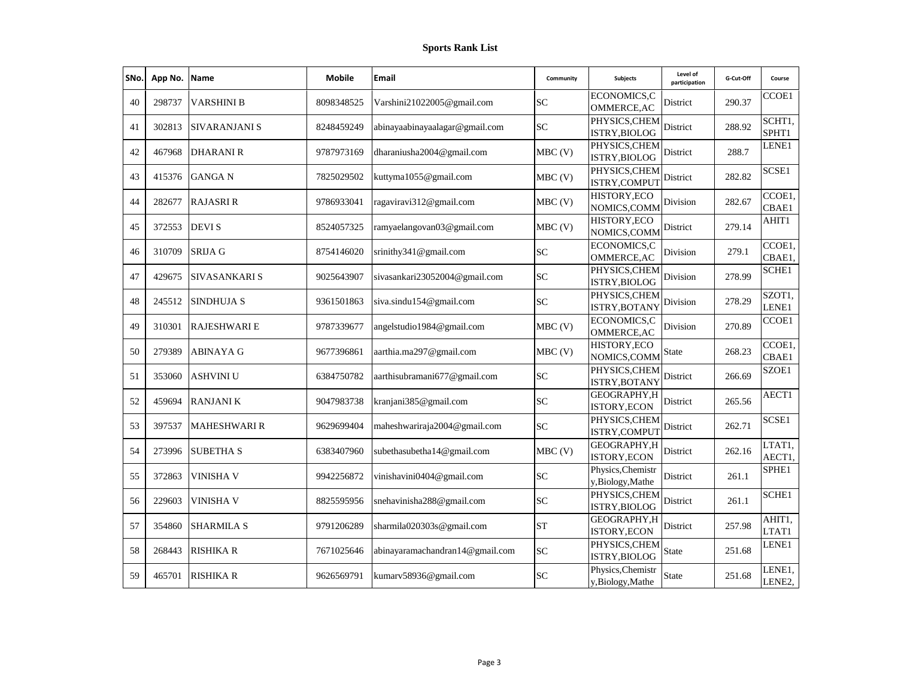| SNo. | App No. | Name                 | <b>Mobile</b> | Email                           | Community | <b>Subjects</b>                      | Level of<br>participation | G-Cut-Off | Course           |
|------|---------|----------------------|---------------|---------------------------------|-----------|--------------------------------------|---------------------------|-----------|------------------|
| 40   | 298737  | <b>VARSHINI B</b>    | 8098348525    | Varshini21022005@gmail.com      | <b>SC</b> | ECONOMICS,C<br>OMMERCE, AC           | District                  | 290.37    | CCOE1            |
| 41   | 302813  | <b>SIVARANJANI S</b> | 8248459249    | abinayaabinayaalagar@gmail.com  | SC        | PHYSICS, CHEM<br>ISTRY, BIOLOG       | District                  | 288.92    | SCHT1,<br>SPHT1  |
| 42   | 467968  | <b>DHARANI R</b>     | 9787973169    | dharaniusha2004@gmail.com       | $MBC$ (V) | PHYSICS, CHEM<br>ISTRY, BIOLOG       | District                  | 288.7     | LENE1            |
| 43   | 415376  | <b>GANGA N</b>       | 7825029502    | kuttyma1055@gmail.com           | $MBC$ (V) | PHYSICS, CHEM<br>ISTRY, COMPUT       | District                  | 282.82    | SCSE1            |
| 44   | 282677  | <b>RAJASRI R</b>     | 9786933041    | ragaviravi312@gmail.com         | $MBC$ (V) | HISTORY, ECO<br>NOMICS, COMM         | Division                  | 282.67    | CCOE1,<br>CBAE1  |
| 45   | 372553  | <b>DEVIS</b>         | 8524057325    | ramyaelangovan03@gmail.com      | $MBC$ (V) | HISTORY, ECO<br>NOMICS, COMM         | District                  | 279.14    | AHIT1            |
| 46   | 310709  | <b>SRIJA G</b>       | 8754146020    | srinithy341@gmail.com           | SC        | ECONOMICS,C<br>OMMERCE, AC           | Division                  | 279.1     | CCOE1,<br>CBAE1, |
| 47   | 429675  | SIVASANKARI S        | 9025643907    | sivasankari23052004@gmail.com   | <b>SC</b> | PHYSICS, CHEM<br>ISTRY, BIOLOG       | Division                  | 278.99    | <b>SCHE1</b>     |
| 48   | 245512  | <b>SINDHUJA S</b>    | 9361501863    | siva.sindu154@gmail.com         | SC        | PHYSICS, CHEM<br>ISTRY, BOTANY       | Division                  | 278.29    | SZOT1,<br>LENE1  |
| 49   | 310301  | <b>RAJESHWARI E</b>  | 9787339677    | angelstudio1984@gmail.com       | $MBC$ (V) | ECONOMICS,C<br><b>OMMERCE, AC</b>    | Division                  | 270.89    | CCOE1            |
| 50   | 279389  | <b>ABINAYA G</b>     | 9677396861    | aarthia.ma297@gmail.com         | $MBC$ (V) | HISTORY, ECO<br>NOMICS, COMM         | State                     | 268.23    | CCOE1,<br>CBAE1  |
| 51   | 353060  | <b>ASHVINI U</b>     | 6384750782    | aarthisubramani677@gmail.com    | SC        | PHYSICS, CHEM<br>ISTRY, BOTANY       | District                  | 266.69    | SZOE1            |
| 52   | 459694  | <b>RANJANIK</b>      | 9047983738    | kranjani385@gmail.com           | SC        | GEOGRAPHY, H<br>ISTORY, ECON         | District                  | 265.56    | AECT1            |
| 53   | 397537  | <b>MAHESHWARI R</b>  | 9629699404    | maheshwariraja2004@gmail.com    | SC        | PHYSICS, CHEM<br>ISTRY, COMPUT       | District                  | 262.71    | SCSE1            |
| 54   | 273996  | <b>SUBETHA S</b>     | 6383407960    | subethasubetha14@gmail.com      | $MBC$ (V) | GEOGRAPHY, H<br>ISTORY, ECON         | District                  | 262.16    | LTAT1,<br>AECT1, |
| 55   | 372863  | <b>VINISHA V</b>     | 9942256872    | vinishavini0404@gmail.com       | SC        | Physics, Chemistr<br>y,Biology,Mathe | District                  | 261.1     | SPHE1            |
| 56   | 229603  | <b>VINISHA V</b>     | 8825595956    | snehavinisha288@gmail.com       | SC        | PHYSICS, CHEM<br>ISTRY, BIOLOG       | District                  | 261.1     | SCHE1            |
| 57   | 354860  | <b>SHARMILA S</b>    | 9791206289    | sharmila020303s@gmail.com       | <b>ST</b> | GEOGRAPHY, H<br>ISTORY, ECON         | District                  | 257.98    | AHIT1,<br>LTAT1  |
| 58   | 268443  | <b>RISHIKA R</b>     | 7671025646    | abinayaramachandran14@gmail.com | <b>SC</b> | PHYSICS, CHEM<br>ISTRY, BIOLOG       | State                     | 251.68    | LENE1            |
| 59   | 465701  | <b>RISHIKA R</b>     | 9626569791    | kumarv58936@gmail.com           | SC        | Physics, Chemistr<br>y,Biology,Mathe | State                     | 251.68    | LENE1.<br>LENE2, |